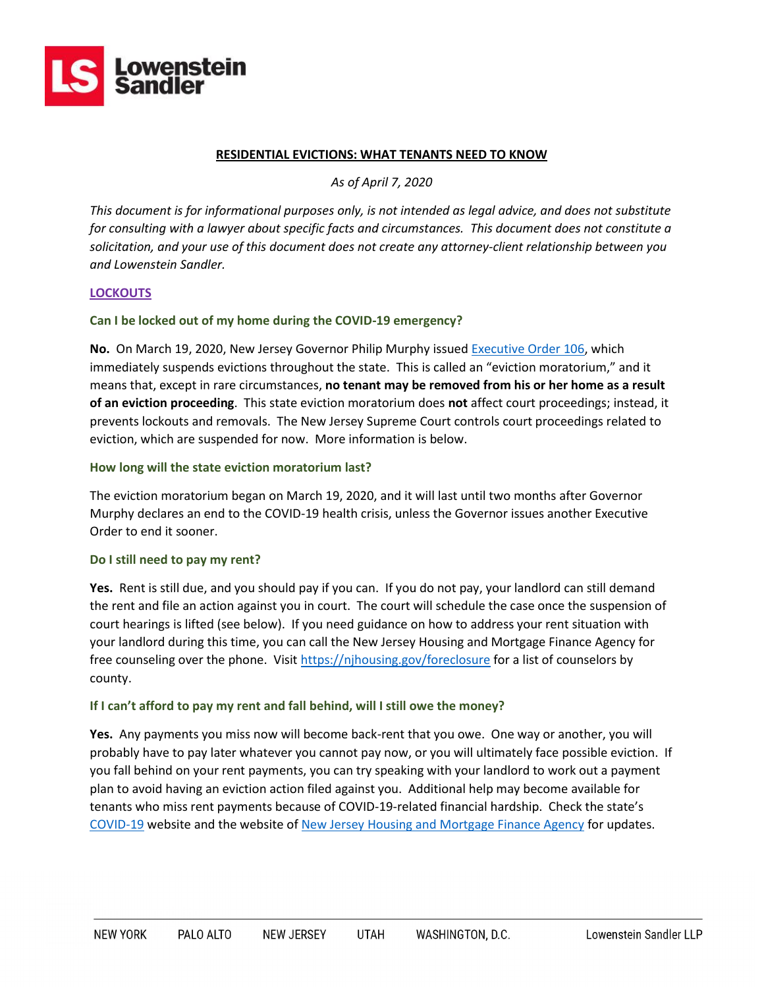

#### **RESIDENTIAL EVICTIONS: WHAT TENANTS NEED TO KNOW**

*As of April 7, 2020*

*This document is for informational purposes only, is not intended as legal advice, and does not substitute for consulting with a lawyer about specific facts and circumstances. This document does not constitute a solicitation, and your use of this document does not create any attorney-client relationship between you and Lowenstein Sandler.*

### **LOCKOUTS**

## **Can I be locked out of my home during the COVID-19 emergency?**

**No.** On March 19, 2020, New Jersey Governor Philip Murphy issued [Executive Order 106,](https://nj.gov/infobank/eo/056murphy/pdf/EO-106.pdf) which immediately suspends evictions throughout the state. This is called an "eviction moratorium," and it means that, except in rare circumstances, **no tenant may be removed from his or her home as a result of an eviction proceeding**. This state eviction moratorium does **not** affect court proceedings; instead, it prevents lockouts and removals. The New Jersey Supreme Court controls court proceedings related to eviction, which are suspended for now. More information is below.

### **How long will the state eviction moratorium last?**

The eviction moratorium began on March 19, 2020, and it will last until two months after Governor Murphy declares an end to the COVID-19 health crisis, unless the Governor issues another Executive Order to end it sooner.

#### **Do I still need to pay my rent?**

**Yes.** Rent is still due, and you should pay if you can. If you do not pay, your landlord can still demand the rent and file an action against you in court. The court will schedule the case once the suspension of court hearings is lifted (see below). If you need guidance on how to address your rent situation with your landlord during this time, you can call the New Jersey Housing and Mortgage Finance Agency for free counseling over the phone. Visit<https://njhousing.gov/foreclosure> for a list of counselors by county.

#### **If I can't afford to pay my rent and fall behind, will I still owe the money?**

**Yes.** Any payments you miss now will become back-rent that you owe. One way or another, you will probably have to pay later whatever you cannot pay now, or you will ultimately face possible eviction. If you fall behind on your rent payments, you can try speaking with your landlord to work out a payment plan to avoid having an eviction action filed against you. Additional help may become available for tenants who miss rent payments because of COVID-19-related financial hardship. Check the state's [COVID-19](https://covid19.nj.gov/) website and the website o[f New Jersey Housing and Mortgage Finance Agency](https://njhousing.gov/foreclosure) for updates.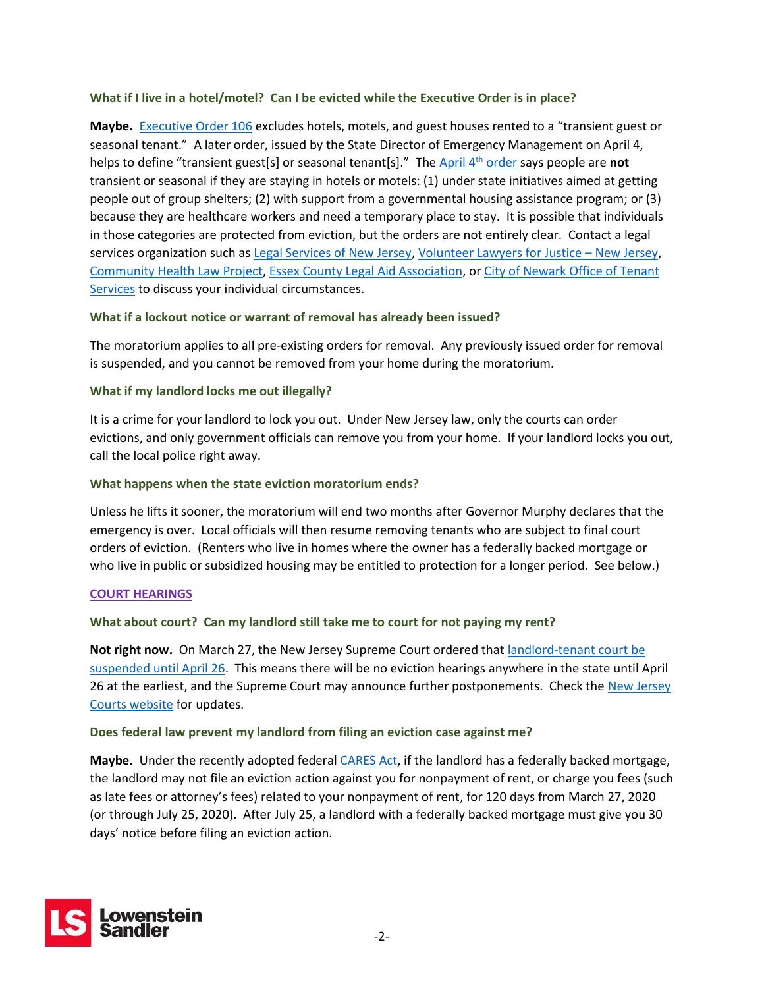# **What if I live in a hotel/motel? Can I be evicted while the Executive Order is in place?**

**Maybe.** [Executive Order 106](https://nj.gov/infobank/eo/056murphy/pdf/EO-106.pdf) excludes hotels, motels, and guest houses rented to a "transient guest or seasonal tenant." A later order, issued by the State Director of Emergency Management on April 4, helps to define "transient guest[s] or seasonal tenant[s]." The [April 4](https://d31hzlhk6di2h5.cloudfront.net/20200404/76/54/49/6d/782ba5a402ce762190ffdf92/AO_2020-8.pdf)th order says people are **not** transient or seasonal if they are staying in hotels or motels: (1) under state initiatives aimed at getting people out of group shelters; (2) with support from a governmental housing assistance program; or (3) because they are healthcare workers and need a temporary place to stay. It is possible that individuals in those categories are protected from eviction, but the orders are not entirely clear. Contact a legal services organization such as [Legal Services of New Jersey,](https://www.lsnj.org/) [Volunteer Lawyers for Justice](http://www.vljnj.org/) – New Jersey, [Community Health Law](http://www.chlp.org/) Project, [Essex County Legal Aid Association,](https://eclaanj.org/) or [City of Newark Office of Tenant](https://www.newarknj.gov/news/free-legal-help-for-low-income-at-risk-tenants-facing-eviction-now-in-operation-and-taking-applications)  [Services](https://www.newarknj.gov/news/free-legal-help-for-low-income-at-risk-tenants-facing-eviction-now-in-operation-and-taking-applications) to discuss your individual circumstances.

# **What if a lockout notice or warrant of removal has already been issued?**

The moratorium applies to all pre-existing orders for removal. Any previously issued order for removal is suspended, and you cannot be removed from your home during the moratorium.

# **What if my landlord locks me out illegally?**

It is a crime for your landlord to lock you out. Under New Jersey law, only the courts can order evictions, and only government officials can remove you from your home. If your landlord locks you out, call the local police right away.

# **What happens when the state eviction moratorium ends?**

Unless he lifts it sooner, the moratorium will end two months after Governor Murphy declares that the emergency is over. Local officials will then resume removing tenants who are subject to final court orders of eviction. (Renters who live in homes where the owner has a federally backed mortgage or who live in public or subsidized housing may be entitled to protection for a longer period. See below.)

## **COURT HEARINGS**

## **What about court? Can my landlord still take me to court for not paying my rent?**

**Not right now.** On March 27, the New Jersey Supreme Court ordered tha[t landlord-tenant court be](https://www.njcourts.gov/notices/2020/n200327a.pdf)  [suspended until April 26.](https://www.njcourts.gov/notices/2020/n200327a.pdf) This means there will be no eviction hearings anywhere in the state until April 26 at the earliest, and the Supreme Court may announce further postponements. Check the [New Jersey](https://njcourts.gov/public/covid19.html)  [Courts website](https://njcourts.gov/public/covid19.html) for updates.

## **Does federal law prevent my landlord from filing an eviction case against me?**

**Maybe.** Under the recently adopted federa[l CARES Act,](https://www.congress.gov/116/bills/hr748/BILLS-116hr748eas.pdf) if the landlord has a federally backed mortgage, the landlord may not file an eviction action against you for nonpayment of rent, or charge you fees (such as late fees or attorney's fees) related to your nonpayment of rent, for 120 days from March 27, 2020 (or through July 25, 2020). After July 25, a landlord with a federally backed mortgage must give you 30 days' notice before filing an eviction action.

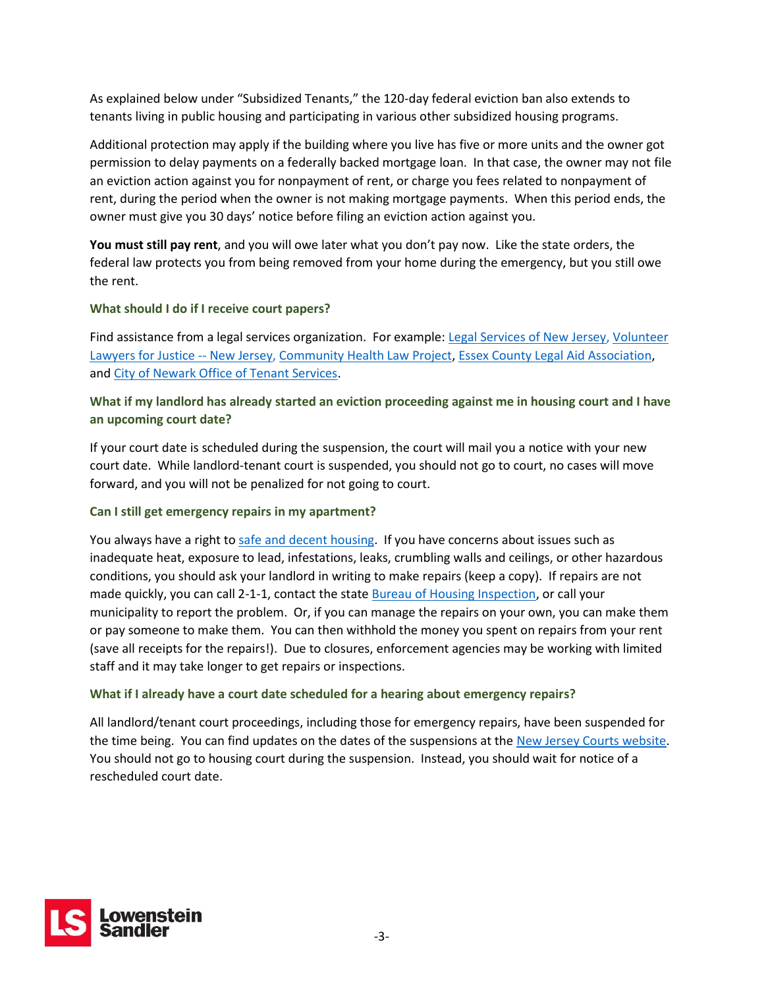As explained below under "Subsidized Tenants," the 120-day federal eviction ban also extends to tenants living in public housing and participating in various other subsidized housing programs.

Additional protection may apply if the building where you live has five or more units and the owner got permission to delay payments on a federally backed mortgage loan. In that case, the owner may not file an eviction action against you for nonpayment of rent, or charge you fees related to nonpayment of rent, during the period when the owner is not making mortgage payments. When this period ends, the owner must give you 30 days' notice before filing an eviction action against you.

**You must still pay rent**, and you will owe later what you don't pay now. Like the state orders, the federal law protects you from being removed from your home during the emergency, but you still owe the rent.

# **What should I do if I receive court papers?**

Find assistance from a legal services organization. For example: [Legal Services of New Jersey,](https://www.lsnj.org/) [Volunteer](http://www.vljnj.org/)  [Lawyers for Justice --](http://www.vljnj.org/) New Jersey, [Community Health Law Project,](http://www.chlp.org/) [Essex County Legal Aid Association,](https://eclaanj.org/) and [City of Newark Office of Tenant Services.](https://www.newarknj.gov/news/free-legal-help-for-low-income-at-risk-tenants-facing-eviction-now-in-operation-and-taking-applications)

# **What if my landlord has already started an eviction proceeding against me in housing court and I have an upcoming court date?**

If your court date is scheduled during the suspension, the court will mail you a notice with your new court date. While landlord-tenant court is suspended, you should not go to court, no cases will move forward, and you will not be penalized for not going to court.

## **Can I still get emergency repairs in my apartment?**

You always have a right to [safe and decent housing.](https://www.lsnjlaw.org/Housing/Landlord-Tenant/Repairs-Habitability/Pages/Safe-Decent-Housing.aspx) If you have concerns about issues such as inadequate heat, exposure to lead, infestations, leaks, crumbling walls and ceilings, or other hazardous conditions, you should ask your landlord in writing to make repairs (keep a copy). If repairs are not made quickly, you can call 2-1-1, contact the state [Bureau of Housing Inspection,](https://www.nj.gov/dca/divisions/codes/offices/housinginspection.html) or call your municipality to report the problem. Or, if you can manage the repairs on your own, you can make them or pay someone to make them. You can then withhold the money you spent on repairs from your rent (save all receipts for the repairs!). Due to closures, enforcement agencies may be working with limited staff and it may take longer to get repairs or inspections.

## **What if I already have a court date scheduled for a hearing about emergency repairs?**

All landlord/tenant court proceedings, including those for emergency repairs, have been suspended for the time being. You can find updates on the dates of the suspensions at the [New Jersey Courts website.](https://njcourts.gov/public/covid19.html) You should not go to housing court during the suspension. Instead, you should wait for notice of a rescheduled court date.

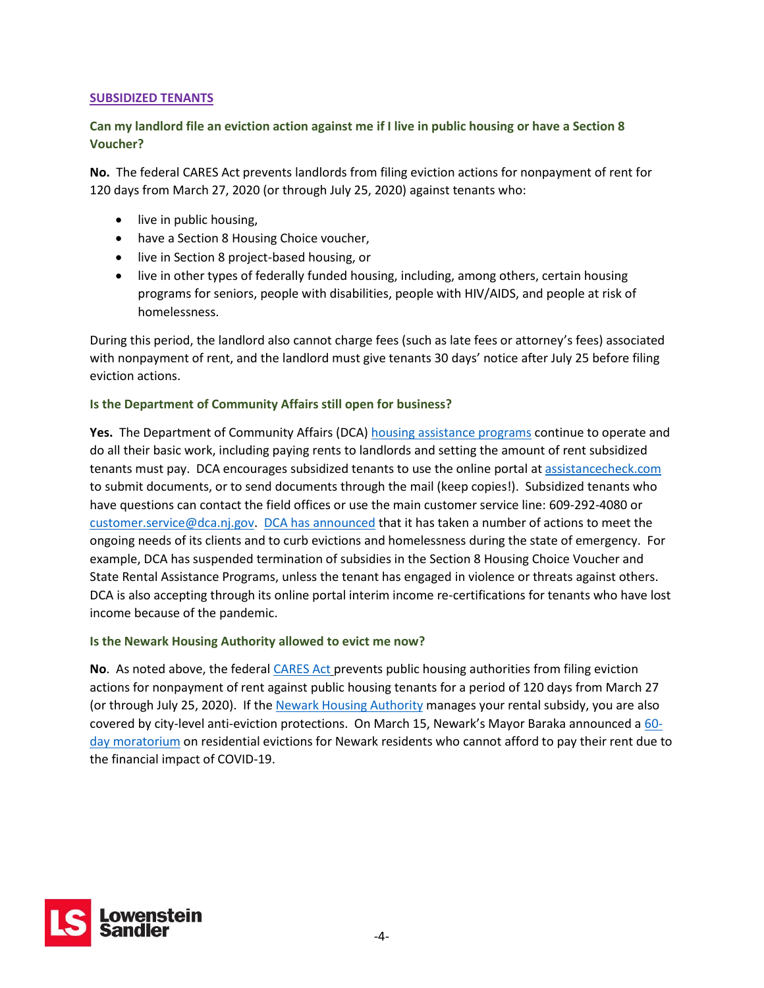# **SUBSIDIZED TENANTS**

# **Can my landlord file an eviction action against me if I live in public housing or have a Section 8 Voucher?**

**No.** The federa[l CARES Act](https://www.congress.gov/116/bills/hr748/BILLS-116hr748eas.pdf) prevents landlords from filing eviction actions for nonpayment of rent for 120 days from March 27, 2020 (or through July 25, 2020) against tenants who:

- live in public housing,
- have a Section 8 Housing Choice voucher,
- live in Section 8 project-based housing, or
- live in other types of federally funded housing, including, among others, certain housing programs for seniors, people with disabilities, people with HIV/AIDS, and people at risk of homelessness.

During this period, the landlord also cannot charge fees (such as late fees or attorney's fees) associated with nonpayment of rent, and the landlord must give tenants 30 days' notice after July 25 before filing eviction actions.

# **Is the Department of Community Affairs still open for business?**

Yes. The Department of Community Affairs (DCA[\) housing assistance programs](https://nj.gov/dca/divisions/dhcr/covid19housingassistance.html) continue to operate and do all their basic work, including paying rents to landlords and setting the amount of rent subsidized tenants must pay. DCA encourages subsidized tenants to use the online portal at [assistancecheck.com](https://www.assistancecheck.com/) to submit documents, or to send documents through the mail (keep copies!). Subsidized tenants who have questions can contact the field offices or use the main customer service line: 609-292-4080 or [customer.service@dca.nj.gov.](mailto:customer.service@dca.nj.gov) [DCA has announced](https://nj.gov/governor/news/news/562020/approved/20200319c.shtml) that it has taken a number of actions to meet the ongoing needs of its clients and to curb evictions and homelessness during the state of emergency. For example, DCA has suspended termination of subsidies in the Section 8 Housing Choice Voucher and State Rental Assistance Programs, unless the tenant has engaged in violence or threats against others. DCA is also accepting through its online portal interim income re-certifications for tenants who have lost income because of the pandemic.

## **Is the Newark Housing Authority allowed to evict me now?**

**No**. As noted above, the federal [CARES Act](https://www.congress.gov/116/bills/hr748/BILLS-116hr748eas.pdf) prevents public housing authorities from filing eviction actions for nonpayment of rent against public housing tenants for a period of 120 days from March 27 (or through July 25, 2020). If the [Newark Housing Authority](http://www.newarkha.org/) manages your rental subsidy, you are also covered by city-level anti-eviction protections. On March 15, Newark's Mayor Baraka announced a [60](https://www.facebook.com/RasJBaraka/photos/a.319302828206793/1842820932521634/?type=3&theater) [day moratorium](https://www.facebook.com/RasJBaraka/photos/a.319302828206793/1842820932521634/?type=3&theater) on residential evictions for Newark residents who cannot afford to pay their rent due to the financial impact of COVID-19.